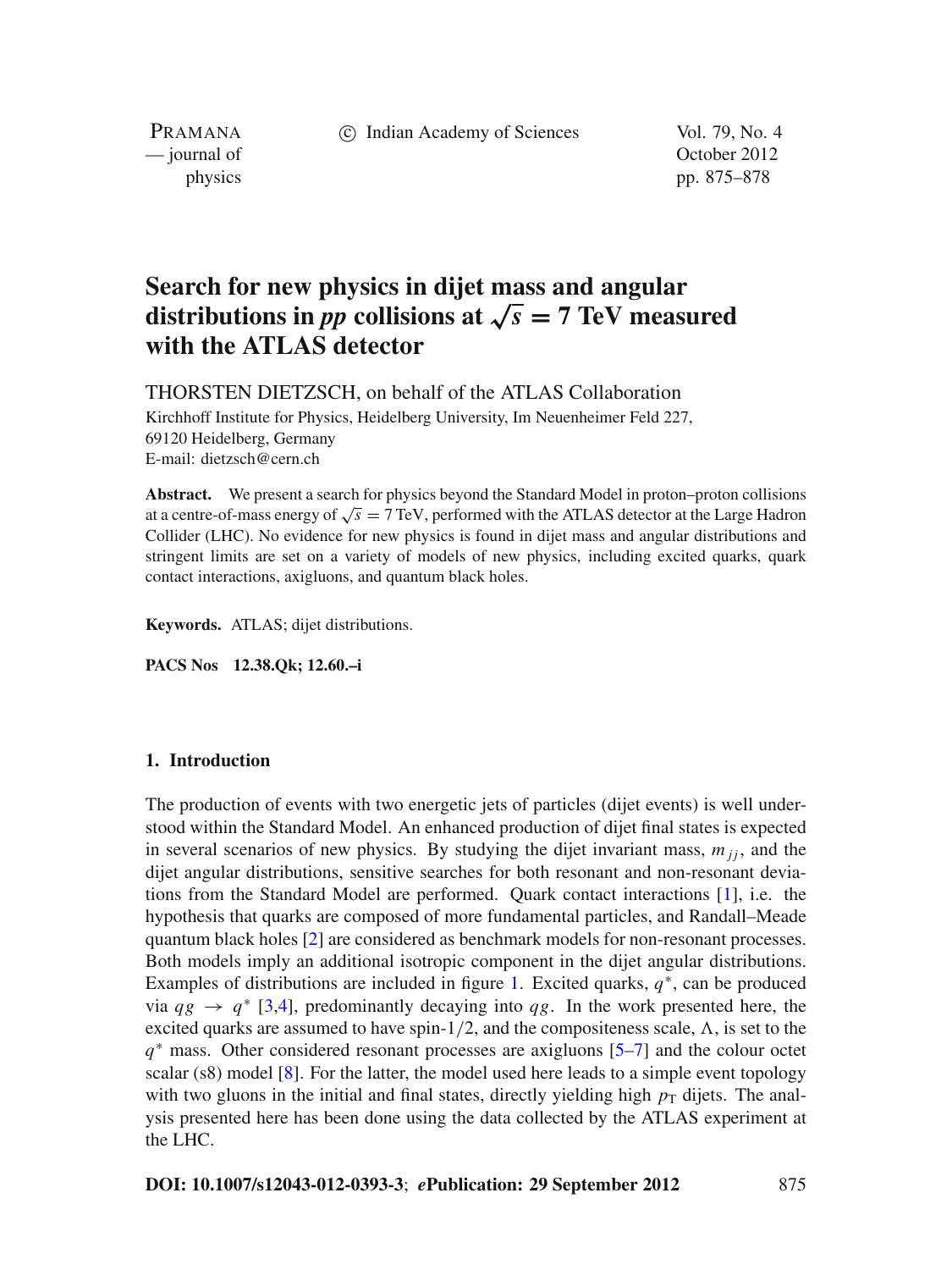c Indian Academy of Sciences Vol. 79, No. 4

PRAMANA

— journal of Contract of Contract of Contract of Contract of Contract of Contract of Contract of Contract of Contract of Contract of Contract of Contract of Contract of Contract of Contract of Contract of Contract of Contr physics pp. 875–878

# **Search for new physics in dijet mass and angular distributions in** *pp* collisions at  $\sqrt{s} = 7$  TeV measured **with the ATLAS detector**

THORSTEN DIETZSCH, on behalf of the ATLAS Collaboration

Kirchhoff Institute for Physics, Heidelberg University, Im Neuenheimer Feld 227, 69120 Heidelberg, Germany E-mail: dietzsch@cern.ch

**Abstract.** We present a search for physics beyond the Standard Model in proton–proton collisions at a centre-of-mass energy of  $\sqrt{s} = 7$  TeV, performed with the ATLAS detector at the Large Hadron Collider (LHC). No evidence for new physics is found in dijet mass and angular distributions and stringent limits are set on a variety of models of new physics, including excited quarks, quark contact interactions, axigluons, and quantum black holes.

**Keywords.** ATLAS; dijet distributions.

**PACS Nos 12.38.Qk; 12.60.–i**

## **1. Introduction**

The production of events with two energetic jets of particles (dijet events) is well understood within the Standard Model. An enhanced production of dijet final states is expected in several scenarios of new physics. By studying the dijet invariant mass,  $m_{ji}$ , and the dijet angular distributions, sensitive searches for both resonant and non-resonant deviations from the Standard Model are performed. Quark contact interactions [\[1](#page-2-0)], i.e. the hypothesis that quarks are composed of more fundamental particles, and Randall–Meade quantum black holes [\[2](#page-2-1)] are considered as benchmark models for non-resonant processes. Both models imply an additional isotropic component in the dijet angular distributions. Examples of distributions are included in figure [1.](#page-1-0) Excited quarks, *q*<sup>∗</sup>, can be produced via  $qg \rightarrow q^*$  [\[3](#page-2-2)[,4](#page-2-3)], predominantly decaying into  $qg$ . In the work presented here, the excited quarks are assumed to have spin- $1/2$ , and the compositeness scale,  $\Lambda$ , is set to the *q*<sup>∗</sup> mass. Other considered resonant processes are axigluons [\[5](#page-2-4)[–7\]](#page-3-0) and the colour octet scalar (s8) model [\[8](#page-3-1)]. For the latter, the model used here leads to a simple event topology with two gluons in the initial and final states, directly yielding high  $p<sub>T</sub>$  dijets. The analysis presented here has been done using the data collected by the ATLAS experiment at the LHC.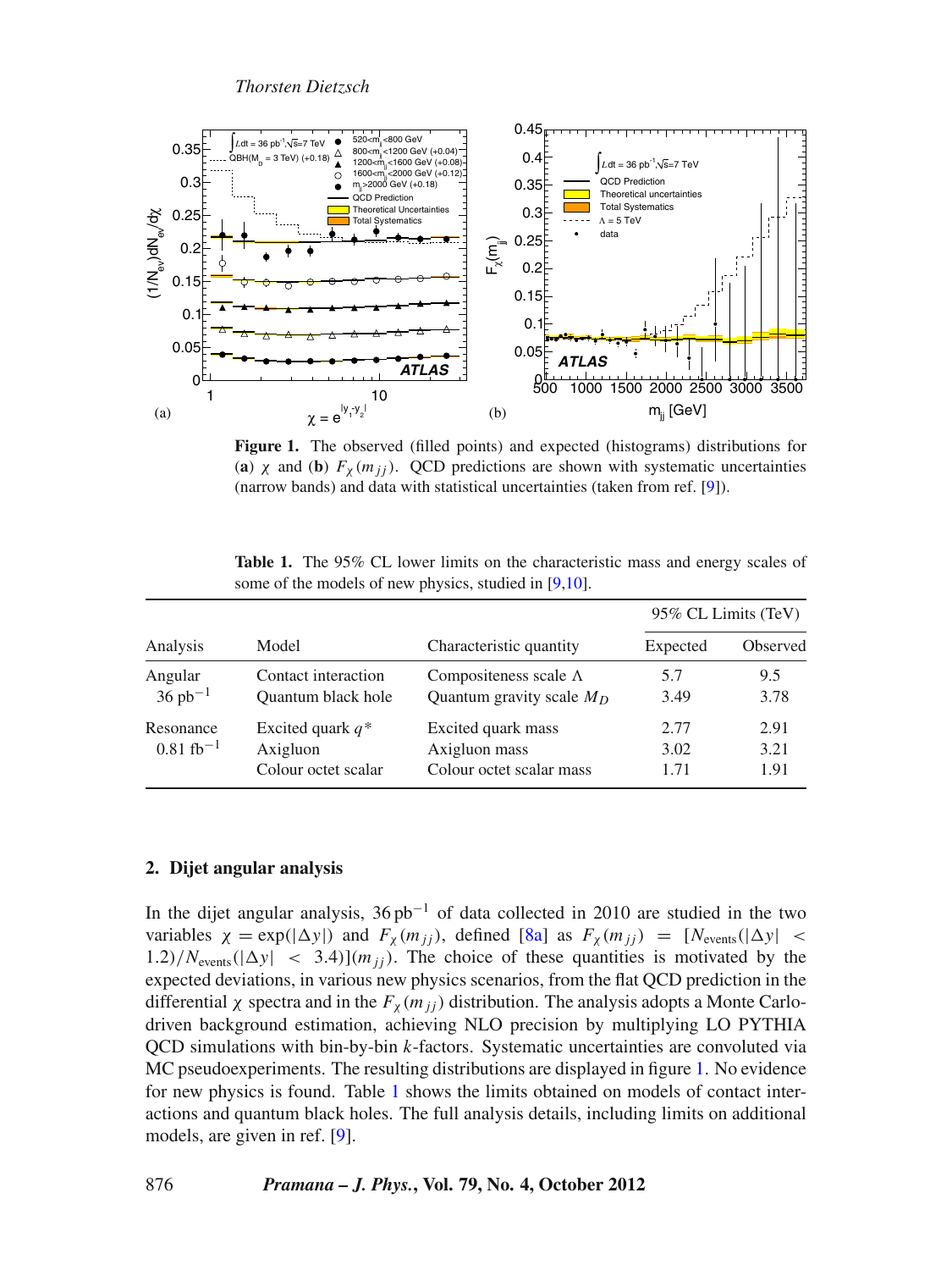<span id="page-1-0"></span>

**Figure 1.** The observed (filled points) and expected (histograms) distributions for (a)  $\chi$  and (b)  $F_{\chi}(m_{ij})$ . QCD predictions are shown with systematic uncertainties (narrow bands) and data with statistical uncertainties (taken from ref. [\[9](#page-3-2)]).

<span id="page-1-1"></span>

| Analysis                          | Model                                                  | Characteristic quantity                                         | 95% CL Limits (TeV)  |                      |
|-----------------------------------|--------------------------------------------------------|-----------------------------------------------------------------|----------------------|----------------------|
|                                   |                                                        |                                                                 | Expected             | Observed             |
| Angular<br>$36 pb^{-1}$           | Contact interaction<br>Quantum black hole              | Compositeness scale $\Lambda$<br>Quantum gravity scale $M_D$    | 5.7<br>3.49          | 9.5<br>3.78          |
| Resonance<br>$0.81~{\rm fb}^{-1}$ | Excited quark $q^*$<br>Axigluon<br>Colour octet scalar | Excited quark mass<br>Axigluon mass<br>Colour octet scalar mass | 2.77<br>3.02<br>1.71 | 2.91<br>3.21<br>1.91 |

**Table 1.** The 95% CL lower limits on the characteristic mass and energy scales of some of the models of new physics, studied in [\[9](#page-3-2)[,10](#page-3-3)].

# **2. Dijet angular analysis**

In the dijet angular analysis,  $36 pb^{-1}$  of data collected in 2010 are studied in the two variables  $\chi = \exp(|\Delta y|)$  and  $F_\chi(m_{jj})$ , defined [\[8a\]](#page-3-4) as  $F_\chi(m_{jj}) = [N_{\text{events}}(|\Delta y| <$  $1.2$ // $N_{\text{events}}$ ( $|\Delta y| < 3.4$ ) $(m_{ij})$ . The choice of these quantities is motivated by the expected deviations, in various new physics scenarios, from the flat QCD prediction in the differential  $\chi$  spectra and in the  $F_{\chi}(m_{jj})$  distribution. The analysis adopts a Monte Carlodriven background estimation, achieving NLO precision by multiplying LO PYTHIA QCD simulations with bin-by-bin *k*-factors. Systematic uncertainties are convoluted via MC pseudoexperiments. The resulting distributions are displayed in figure [1.](#page-1-0) No evidence for new physics is found. Table [1](#page-1-1) shows the limits obtained on models of contact interactions and quantum black holes. The full analysis details, including limits on additional models, are given in ref. [\[9](#page-3-2)].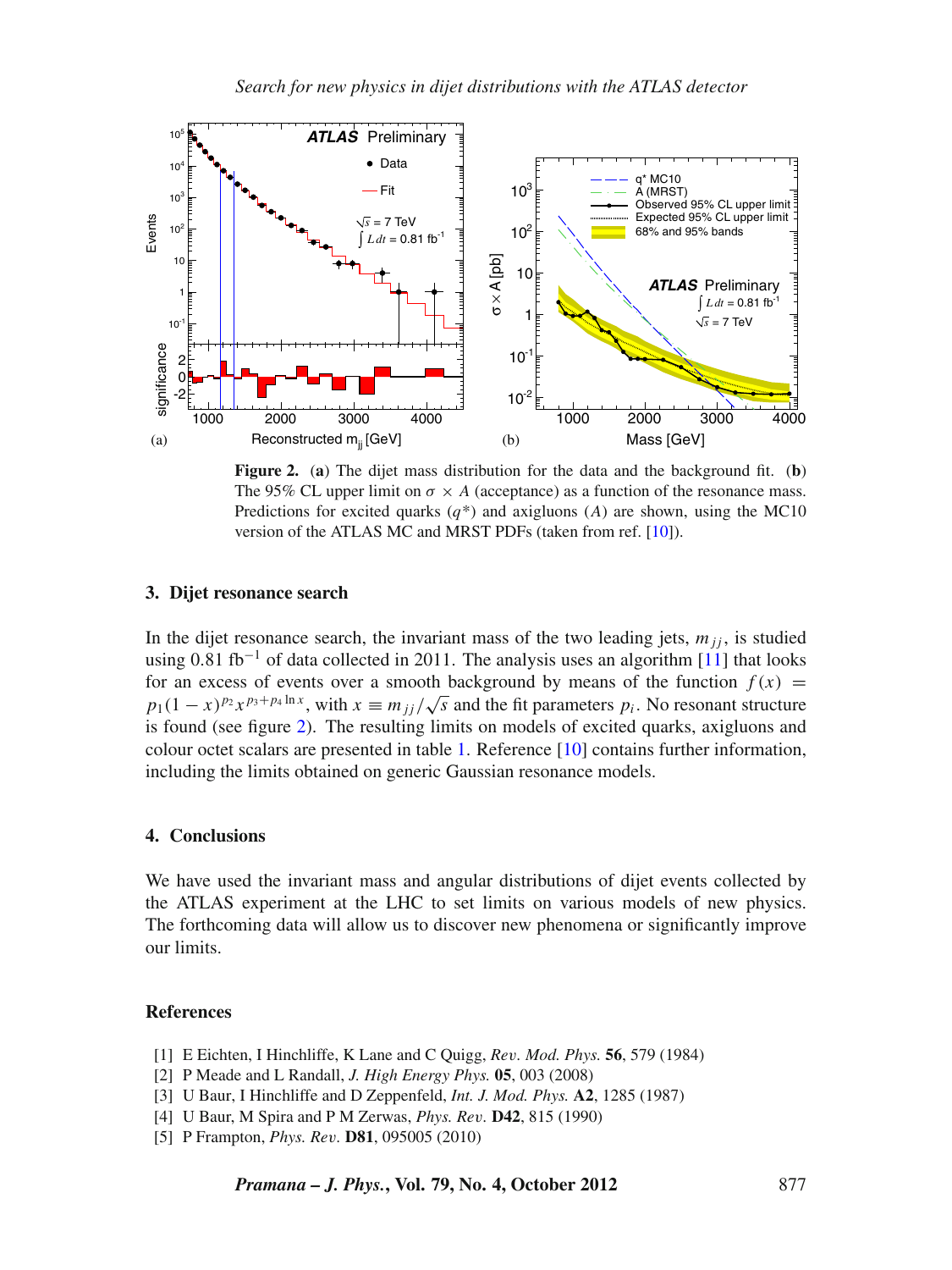<span id="page-2-5"></span>

**Figure 2.** (**a**) The dijet mass distribution for the data and the background fit. (**b**) The 95% CL upper limit on  $\sigma \times A$  (acceptance) as a function of the resonance mass. Predictions for excited quarks  $(q^*)$  and axigluons  $(A)$  are shown, using the MC10 version of the ATLAS MC and MRST PDFs (taken from ref. [\[10](#page-3-3)]).

#### **3. Dijet resonance search**

In the dijet resonance search, the invariant mass of the two leading jets,  $m_{jj}$ , is studied using  $0.81$  fb<sup>-1</sup> of data collected in 2011. The analysis uses an algorithm [\[11](#page-3-5)] that looks for an excess of events over a smooth background by means of the function  $f(x)$  = *p*<sub>1</sub>(1 − *x*)<sup>*p*<sub>2</sub> *x*<sub>*p*</sub><sup>3+*p*<sub>4</sub> ln *x*</sup>, with  $x \equiv m_{jj}/\sqrt{s}$  and the fit parameters *p<sub>i</sub>*. No resonant structure</sup> is found (see figure [2\)](#page-2-5). The resulting limits on models of excited quarks, axigluons and colour octet scalars are presented in table [1.](#page-1-1) Reference [\[10\]](#page-3-3) contains further information, including the limits obtained on generic Gaussian resonance models.

#### **4. Conclusions**

We have used the invariant mass and angular distributions of dijet events collected by the ATLAS experiment at the LHC to set limits on various models of new physics. The forthcoming data will allow us to discover new phenomena or significantly improve our limits.

## **References**

- <span id="page-2-0"></span>[1] E Eichten, I Hinchliffe, K Lane and C Quigg, *Re*v*. Mod. Phys.* **56**, 579 (1984)
- <span id="page-2-1"></span>[2] P Meade and L Randall, *J. High Energy Phys.* **05**, 003 (2008)
- <span id="page-2-2"></span>[3] U Baur, I Hinchliffe and D Zeppenfeld, *Int. J. Mod. Phys.* **A2**, 1285 (1987)
- <span id="page-2-3"></span>[4] U Baur, M Spira and P M Zerwas, *Phys. Re*v*.* **D42**, 815 (1990)
- <span id="page-2-4"></span>[5] P Frampton, *Phys. Re*v*.* **D81**, 095005 (2010)